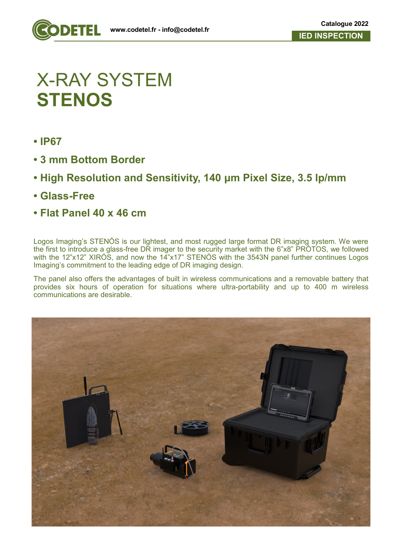

## X-RAY SYSTEM **STENOS**

- **IP67**
- **3 mm Bottom Border**
- **High Resolution and Sensitivity, 140 μm Pixel Size, 3.5 lp/mm**
- **Glass-Free**
- **Flat Panel 40 x 46 cm**

Logos Imaging's STENÓS is our lightest, and most rugged large format DR imaging system. We were the first to introduce a glass-free DR imager to the security market with the 6"x8" PROTOS, we followed with the 12"x12" XIROS, and now the 14"x17" STENOS with the 3543N panel further continues Logos Imaging's commitment to the leading edge of DR imaging design.

The panel also offers the advantages of built in wireless communications and a removable battery that provides six hours of operation for situations where ultra-portability and up to 400 m wireless communications are desirable.